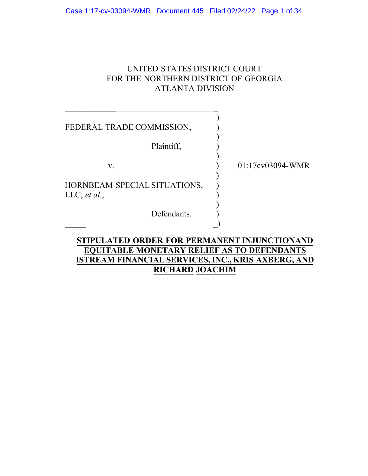# UNITED STATES DISTRICT COURT FOR THE NORTHERN DISTRICT OF GEORGIA ATLANTA DIVISION

| FEDERAL TRADE COMMISSION,                    |                  |
|----------------------------------------------|------------------|
| Plaintiff,                                   |                  |
| V.                                           | 01:17cv03094-WMR |
| HORNBEAM SPECIAL SITUATIONS,<br>LLC, et al., |                  |
| Defendants.                                  |                  |

# **STIPULATED ORDER FOR PERMANENT INJUNCTIONAND EQUITABLE MONETARY RELIEF AS TO DEFENDANTS ISTREAM FINANCIAL SERVICES, INC., KRIS AXBERG, AND RICHARD JOACHIM**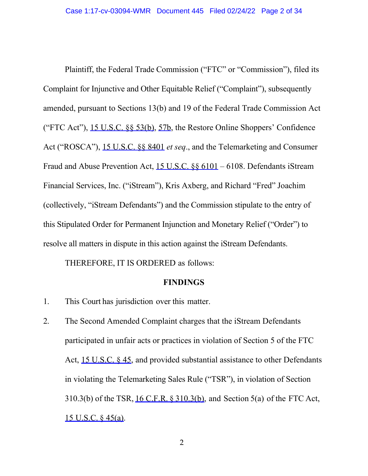Plaintiff, the Federal Trade Commission ("FTC" or "Commission"), filed its Complaint for Injunctive and Other Equitable Relief ("Complaint"), subsequently Fraud and Abuse Prevention Act, 15 U.S.C. §§ 6101 – 6108. Defendants iStream (collectively, "iStream Defendants") and the Commission stipulate to the entry of this Stipulated Order for Permanent Injunction and Monetary Relief ("Order") to resolve all matters in dispute in this action against the iStream Defendants. amended, pursuant to Sections 13(b) and 19 of the Federal Trade Commission Act ("FTC Act"), 15 U.S.C. §§ 53(b), 57b, the Restore Online Shoppers' Confidence Act ("ROSCA"), 15 U.S.C. §§ 8401 *et seq*., and the Telemarketing and Consumer Financial Services, Inc. ("iStream"), Kris Axberg, and Richard "Fred" Joachim

THEREFORE, IT IS ORDERED as follows:

#### **FINDINGS**

- 1. This Court has jurisdiction over this matter.
- in violating the Telemarketing Sales Rule ("TSR"), in violation of Section 310.3(b) of the TSR, <u>16 C.F.R. § 310.3(b)</u>, and Section 5(a) of the FTC Act, 15 U.S.C. § 45(a). 2. The Second Amended Complaint charges that the iStream Defendants participated in unfair acts or practices in violation of Section 5 of the FTC Act, 15 U.S.C. § 45, and provided substantial assistance to other Defendants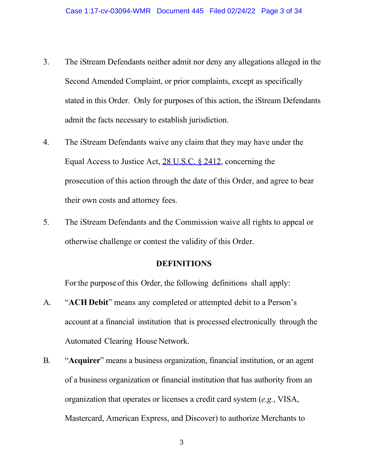- 3. The iStream Defendants neither admit nor deny any allegations alleged in the stated in this Order. Only for purposes of this action, the iStream Defendants admit the facts necessary to establish jurisdiction. Second Amended Complaint, or prior complaints, except as specifically
- 4. The iStream Defendants waive any claim that they may have under the Equal Access to Justice Act, 28 U.S.C. § 2412, concerning the prosecution of this action through the date of this Order, and agree to bear their own costs and attorney fees.
- 5. The iStream Defendants and the Commission waive all rights to appeal or otherwise challenge or contest the validity of this Order.

## **DEFINITIONS**

For the purpose of this Order, the following definitions shall apply:

- A. "**ACH Debit**" means any completed or attempted debit to a Person's account at a financial institution that is processed electronically through the Automated Clearing House Network.
- B. "**Acquirer**" means a business organization, financial institution, or an agent of a business organization or financial institution that has authority from an organization that operates or licenses a credit card system (*e.g.*, VISA, Mastercard, American Express, and Discover) to authorize Merchants to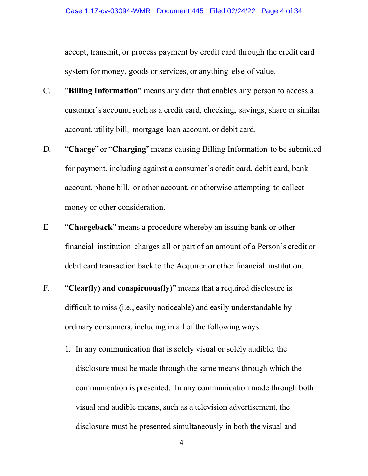system for money, goods or services, or anything else of value. accept, transmit, or process payment by credit card through the credit card

- customer's account, such as a credit card, checking, savings, share or similar account, utility bill, mortgage loan account, or debit card. C. "**Billing Information**" means any data that enables any person to access a
- D. "**Charge**" or "**Charging**" means causing Billing Information to be submitted for payment, including against a consumer's credit card, debit card, bank account, phone bill, or other account, or otherwise attempting to collect money or other consideration.
- financial institution charges all or part of an amount of a Person's credit or debit card transaction back to the Acquirer or other financial institution. E. "**Chargeback**" means a procedure whereby an issuing bank or other
- ordinary consumers, including in all of the following ways: F. "**Clear(ly) and conspicuous(ly)**" means that a required disclosure is difficult to miss (i.e., easily noticeable) and easily understandable by
	- disclosure must be made through the same means through which the communication is presented. In any communication made through both disclosure must be presented simultaneously in both the visual and 1. In any communication that is solely visual or solely audible, the visual and audible means, such as a television advertisement, the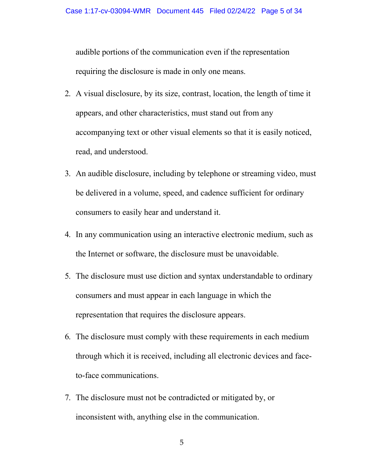audible portions of the communication even if the representation requiring the disclosure is made in only one means.

- 2. A visual disclosure, by its size, contrast, location, the length of time it appears, and other characteristics, must stand out from any accompanying text or other visual elements so that it is easily noticed, read, and understood.
- 3. An audible disclosure, including by telephone or streaming video, must be delivered in a volume, speed, and cadence sufficient for ordinary consumers to easily hear and understand it.
- 4. In any communication using an interactive electronic medium, such as the Internet or software, the disclosure must be unavoidable.
- 5. The disclosure must use diction and syntax understandable to ordinary consumers and must appear in each language in which the representation that requires the disclosure appears.
- 6. The disclosure must comply with these requirements in each medium through which it is received, including all electronic devices and faceto-face communications.
- 7. The disclosure must not be contradicted or mitigated by, or inconsistent with, anything else in the communication.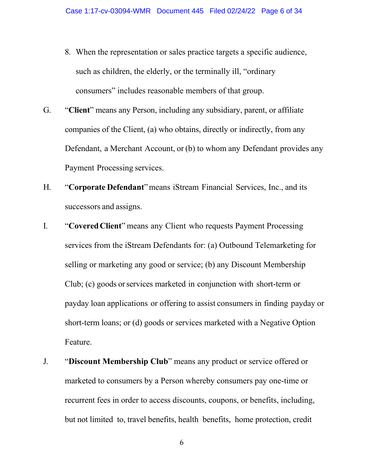- 8. When the representation or sales practice targets a specific audience, such as children, the elderly, or the terminally ill, "ordinary consumers" includes reasonable members of that group.
- companies of the Client, (a) who obtains, directly or indirectly, from any Defendant, a Merchant Account, or (b) to whom any Defendant provides any Payment Processing services. G. "**Client**" means any Person, including any subsidiary, parent, or affiliate
- H. "**Corporate Defendant**" means iStream Financial Services, Inc., and its successors and assigns.
- I. "**Covered Client**" means any Client who requests Payment Processing Club; (c) goods or services marketed in conjunction with short-term or payday loan applications or offering to assist consumers in finding payday or services from the iStream Defendants for: (a) Outbound Telemarketing for selling or marketing any good or service; (b) any Discount Membership short-term loans; or (d) goods or services marketed with a Negative Option Feature.
- marketed to consumers by a Person whereby consumers pay one-time or but not limited to, travel benefits, health benefits, home protection, credit J. "**Discount Membership Club**" means any product or service offered or recurrent fees in order to access discounts, coupons, or benefits, including,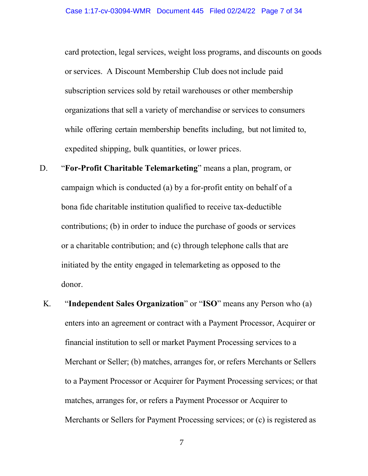or services. A Discount Membership Club does not include paid while offering certain membership benefits including, but not limited to, expedited shipping, bulk quantities, or lower prices. card protection, legal services, weight loss programs, and discounts on goods subscription services sold by retail warehouses or other membership organizations that sell a variety of merchandise or services to consumers

- D. "**For-Profit Charitable Telemarketing**" means a plan, program, or campaign which is conducted (a) by a for-profit entity on behalf of a bona fide charitable institution qualified to receive tax-deductible contributions; (b) in order to induce the purchase of goods or services or a charitable contribution; and (c) through telephone calls that are initiated by the entity engaged in telemarketing as opposed to the donor.
	- enters into an agreement or contract with a Payment Processor, Acquirer or financial institution to sell or market Payment Processing services to a matches, arranges for, or refers a Payment Processor or Acquirer to K. "**Independent Sales Organization**" or "**ISO**" means any Person who (a) Merchant or Seller; (b) matches, arranges for, or refers Merchants or Sellers to a Payment Processor or Acquirer for Payment Processing services; or that Merchants or Sellers for Payment Processing services; or (c) is registered as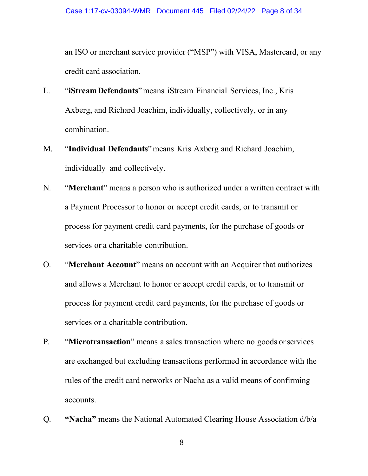an ISO or merchant service provider ("MSP") with VISA, Mastercard, or any credit card association.

- L. "**iStreamDefendants**" means iStream Financial Services, Inc., Kris Axberg, and Richard Joachim, individually, collectively, or in any combination.
- M. "**Individual Defendants**" means Kris Axberg and Richard Joachim, individually and collectively.
- N. "**Merchant**" means a person who is authorized under a written contract with a Payment Processor to honor or accept credit cards, or to transmit or services or a charitable contribution. process for payment credit card payments, for the purchase of goods or
- O. "**Merchant Account**" means an account with an Acquirer that authorizes and allows a Merchant to honor or accept credit cards, or to transmit or process for payment credit card payments, for the purchase of goods or services or a charitable contribution.
- P. "**Microtransaction**" means a sales transaction where no goods or services are exchanged but excluding transactions performed in accordance with the rules of the credit card networks or Nacha as a valid means of confirming accounts.
- Q. **"Nacha"** means the National Automated Clearing House Association d/b/a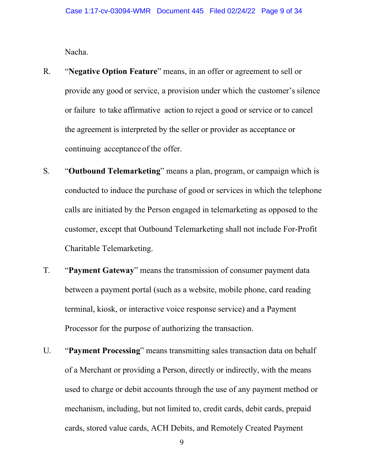Nacha.

- provide any good or service, a provision under which the customer's silence continuing acceptance of the offer. R. "**Negative Option Feature**" means, in an offer or agreement to sell or or failure to take affirmative action to reject a good or service or to cancel the agreement is interpreted by the seller or provider as acceptance or
- Charitable Telemarketing. S. "**Outbound Telemarketing**" means a plan, program, or campaign which is conducted to induce the purchase of good or services in which the telephone calls are initiated by the Person engaged in telemarketing as opposed to the customer, except that Outbound Telemarketing shall not include For-Profit
- between a payment portal (such as a website, mobile phone, card reading Processor for the purpose of authorizing the transaction. T. "Payment Gateway" means the transmission of consumer payment data terminal, kiosk, or interactive voice response service) and a Payment
- of a Merchant or providing a Person, directly or indirectly, with the means mechanism, including, but not limited to, credit cards, debit cards, prepaid U. "Payment Processing" means transmitting sales transaction data on behalf used to charge or debit accounts through the use of any payment method or cards, stored value cards, ACH Debits, and Remotely Created Payment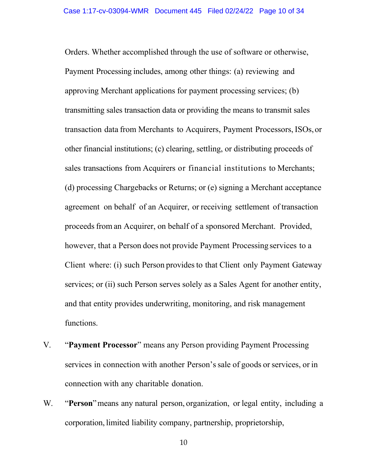Payment Processing includes, among other things: (a) reviewing and transmitting sales transaction data or providing the means to transmit sales transaction data from Merchants to Acquirers, Payment Processors, ISOs,or other financial institutions; (c) clearing, settling, or distributing proceeds of sales transactions from Acquirers or financial institutions to Merchants; agreement on behalf of an Acquirer, or receiving settlement of transaction proceeds from an Acquirer, on behalf of a sponsored Merchant. Provided, however, that a Person does not provide Payment Processing services to a Client where: (i) such Person provides to that Client only Payment Gateway Orders. Whether accomplished through the use of software or otherwise, approving Merchant applications for payment processing services; (b) (d) processing Chargebacks or Returns; or (e) signing a Merchant acceptance services; or (ii) such Person serves solely as a Sales Agent for another entity, and that entity provides underwriting, monitoring, and risk management functions.

- services in connection with another Person's sale of goods or services, or in connection with any charitable donation. V. "**Payment Processor**" means any Person providing Payment Processing
- W. "**Person**" means any natural person, organization, or legal entity, including a corporation, limited liability company, partnership, proprietorship,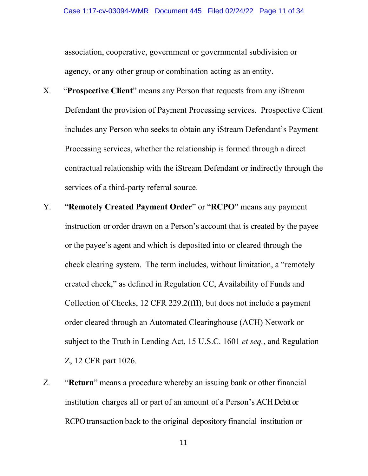agency, or any other group or combination acting as an entity. association, cooperative, government or governmental subdivision or

- X. "**Prospective Client**" means any Person that requests from any iStream Defendant the provision of Payment Processing services. Prospective Client includes any Person who seeks to obtain any iStream Defendant's Payment Processing services, whether the relationship is formed through a direct contractual relationship with the iStream Defendant or indirectly through the services of a third-party referral source.
- instruction or order drawn on a Person's account that is created by the payee or the payee's agent and which is deposited into or cleared through the check clearing system. The term includes, without limitation, a "remotely Y. "**Remotely Created Payment Order**" or "**RCPO**" means any payment created check," as defined in Regulation CC, Availability of Funds and Collection of Checks, 12 CFR 229.2(fff), but does not include a payment order cleared through an Automated Clearinghouse (ACH) Network or subject to the Truth in Lending Act, 15 U.S.C. 1601 *et seq.*, and Regulation Z, 12 CFR part 1026.
- institution charges all or part of an amount of a Person's ACH Debit or RCPO transaction back to the original depository financial institution or Z. "**Return**" means a procedure whereby an issuing bank or other financial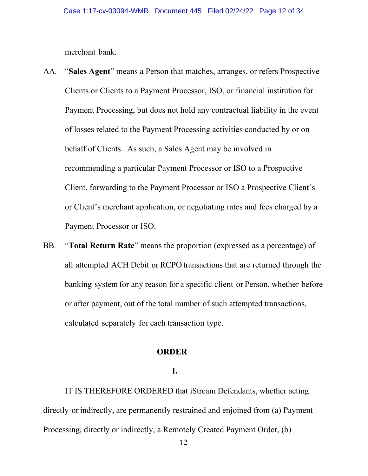merchant bank.

- behalf of Clients. As such, a Sales Agent may be involved in AA. "**Sales Agent**" means a Person that matches, arranges, or refers Prospective Clients or Clients to a Payment Processor, ISO, or financial institution for Payment Processing, but does not hold any contractual liability in the event of losses related to the Payment Processing activities conducted by or on recommending a particular Payment Processor or ISO to a Prospective Client, forwarding to the Payment Processor or ISO a Prospective Client's or Client's merchant application, or negotiating rates and fees charged by a Payment Processor or ISO.
- all attempted ACH Debit or RCPO transactions that are returned through the banking system for any reason for a specific client or Person, whether before calculated separately for each transaction type. BB. "**Total Return Rate**" means the proportion (expressed as a percentage) of or after payment, out of the total number of such attempted transactions,

#### **ORDER**

## **I.**

 IT IS THEREFORE ORDERED that iStream Defendants, whether acting directly or indirectly, are permanently restrained and enjoined from (a) Payment Processing, directly or indirectly, a Remotely Created Payment Order, (b)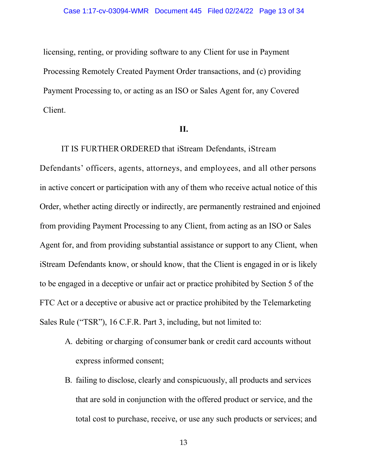licensing, renting, or providing software to any Client for use in Payment Processing Remotely Created Payment Order transactions, and (c) providing Payment Processing to, or acting as an ISO or Sales Agent for, any Covered Client.

### **II.**

 IT IS FURTHER ORDERED that iStream Defendants, iStream Defendants' officers, agents, attorneys, and employees, and all other persons in active concert or participation with any of them who receive actual notice of this Order, whether acting directly or indirectly, are permanently restrained and enjoined from providing Payment Processing to any Client, from acting as an ISO or Sales Agent for, and from providing substantial assistance or support to any Client, when iStream Defendants know, or should know, that the Client is engaged in or is likely to be engaged in a deceptive or unfair act or practice prohibited by Section 5 of the FTC Act or a deceptive or abusive act or practice prohibited by the Telemarketing Sales Rule ("TSR"), 16 C.F.R. Part 3, including, but not limited to:

- A. debiting or charging of consumer bank or credit card accounts without express informed consent;
- total cost to purchase, receive, or use any such products or services; and B. failing to disclose, clearly and conspicuously, all products and services that are sold in conjunction with the offered product or service, and the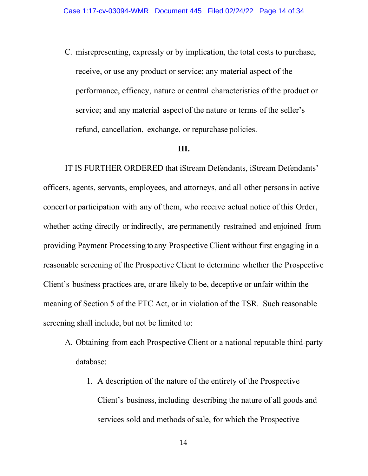receive, or use any product or service; any material aspect of the performance, efficacy, nature or central characteristics of the product or service; and any material aspect of the nature or terms of the seller's refund, cancellation, exchange, or repurchase policies. C. misrepresenting, expressly or by implication, the total costs to purchase,

### **III.**

 officers, agents, servants, employees, and attorneys, and all other persons in active concert or participation with any of them, who receive actual notice of this Order, whether acting directly or indirectly, are permanently restrained and enjoined from providing Payment Processing to any Prospective Client without first engaging in a reasonable screening of the Prospective Client to determine whether the Prospective Client's business practices are, or are likely to be, deceptive or unfair within the meaning of Section 5 of the FTC Act, or in violation of the TSR. Such reasonable screening shall include, but not be limited to: IT IS FURTHER ORDERED that iStream Defendants, iStream Defendants'

- A. Obtaining from each Prospective Client or a national reputable third-party database:
	- Client's business, including describing the nature of all goods and services sold and methods of sale, for which the Prospective 1. A description of the nature of the entirety of the Prospective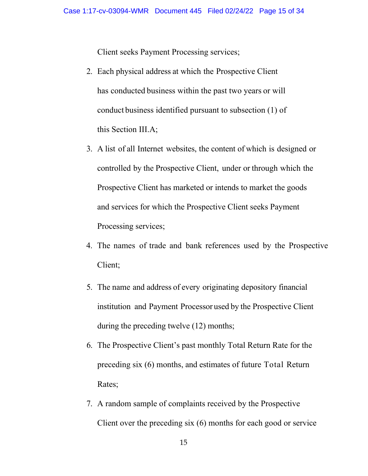Client seeks Payment Processing services;

- 2. Each physical address at which the Prospective Client has conducted business within the past two years or will conduct business identified pursuant to subsection (1) of this Section III.A;
- 3. A list of all Internet websites, the content of which is designed or controlled by the Prospective Client, under or through which the Prospective Client has marketed or intends to market the goods Processing services; and services for which the Prospective Client seeks Payment
- 4. The names of trade and bank references used by the Prospective Client;
- 5. The name and address of every originating depository financial institution and Payment Processor used by the Prospective Client during the preceding twelve (12) months;
- preceding six (6) months, and estimates of future Total Return 6. The Prospective Client's past monthly Total Return Rate for the Rates;
- 7. A random sample of complaints received by the Prospective Client over the preceding six (6) months for each good or service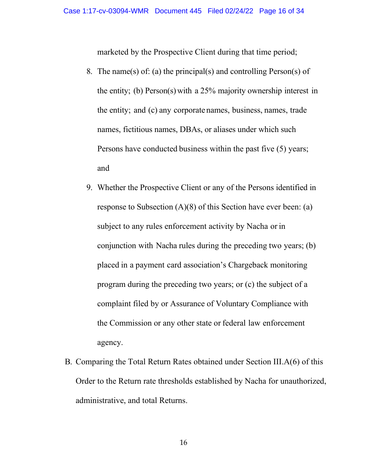marketed by the Prospective Client during that time period;

- the entity; (b) Person(s) with a 25% majority ownership interest in the entity; and (c) any corporate names, business, names, trade Persons have conducted business within the past five (5) years; 8. The name(s) of: (a) the principal(s) and controlling Person(s) of names, fictitious names, DBAs, or aliases under which such and
- 9. Whether the Prospective Client or any of the Persons identified in subject to any rules enforcement activity by Nacha or in conjunction with Nacha rules during the preceding two years; (b) placed in a payment card association's Chargeback monitoring the Commission or any other state or federal law enforcement response to Subsection (A)(8) of this Section have ever been: (a) program during the preceding two years; or (c) the subject of a complaint filed by or Assurance of Voluntary Compliance with agency.
- B. Comparing the Total Return Rates obtained under Section III.A(6) of this Order to the Return rate thresholds established by Nacha for unauthorized, administrative, and total Returns.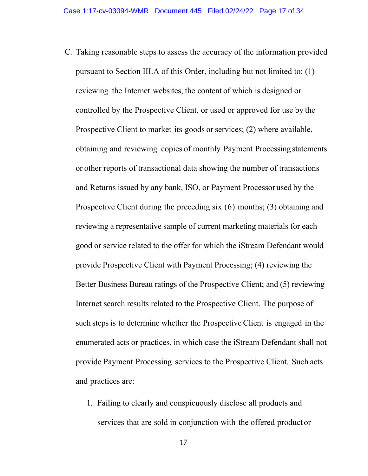- reviewing the Internet websites, the content of which is designed or controlled by the Prospective Client, or used or approved for use by the Prospective Client to market its goods or services; (2) where available, obtaining and reviewing copies of monthly Payment Processing statements or other reports of transactional data showing the number of transactions and Returns issued by any bank, ISO, or Payment Processor used by the Prospective Client during the preceding six (6) months; (3) obtaining and reviewing a representative sample of current marketing materials for each good or service related to the offer for which the iStream Defendant would provide Prospective Client with Payment Processing; (4) reviewing the Better Business Bureau ratings of the Prospective Client; and (5) reviewing such steps is to determine whether the Prospective Client is engaged in the enumerated acts or practices, in which case the iStream Defendant shall not provide Payment Processing services to the Prospective Client. Such acts C. Taking reasonable steps to assess the accuracy of the information provided pursuant to Section III.A of this Order, including but not limited to: (1) Internet search results related to the Prospective Client. The purpose of and practices are:
	- services that are sold in conjunction with the offered product or 1. Failing to clearly and conspicuously disclose all products and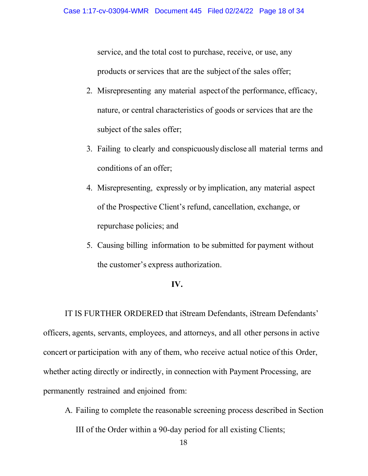products or services that are the subject of the sales offer; service, and the total cost to purchase, receive, or use, any

- 2. Misrepresenting any material aspect of the performance, efficacy, subject of the sales offer; nature, or central characteristics of goods or services that are the
- 3. Failing to clearly and conspicuously disclose all material terms and conditions of an offer;
- 4. Misrepresenting, expressly or by implication, any material aspect of the Prospective Client's refund, cancellation, exchange, or repurchase policies; and
- 5. Causing billing information to be submitted for payment without the customer's express authorization.

#### **IV.**

 officers, agents, servants, employees, and attorneys, and all other persons in active concert or participation with any of them, who receive actual notice of this Order, whether acting directly or indirectly, in connection with Payment Processing, are permanently restrained and enjoined from: IT IS FURTHER ORDERED that iStream Defendants, iStream Defendants'

- A. Failing to complete the reasonable screening process described in Section
	- III of the Order within a 90-day period for all existing Clients;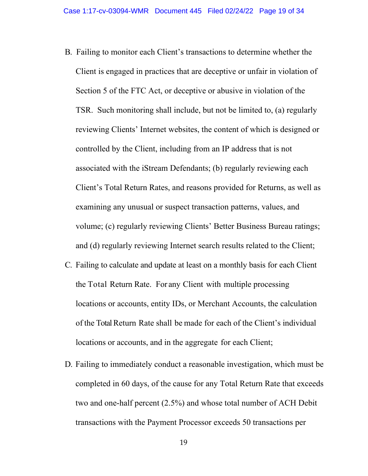- B. Failing to monitor each Client's transactions to determine whether the Client's Total Return Rates, and reasons provided for Returns, as well as Client is engaged in practices that are deceptive or unfair in violation of Section 5 of the FTC Act, or deceptive or abusive in violation of the TSR. Such monitoring shall include, but not be limited to, (a) regularly reviewing Clients' Internet websites, the content of which is designed or controlled by the Client, including from an IP address that is not associated with the iStream Defendants; (b) regularly reviewing each examining any unusual or suspect transaction patterns, values, and volume; (c) regularly reviewing Clients' Better Business Bureau ratings; and (d) regularly reviewing Internet search results related to the Client;
- C. Failing to calculate and update at least on a monthly basis for each Client the Total Return Rate. For any Client with multiple processing locations or accounts, entity IDs, or Merchant Accounts, the calculation of the Total Return Rate shall be made for each of the Client's individual locations or accounts, and in the aggregate for each Client;
- two and one-half percent (2.5%) and whose total number of ACH Debit D. Failing to immediately conduct a reasonable investigation, which must be completed in 60 days, of the cause for any Total Return Rate that exceeds transactions with the Payment Processor exceeds 50 transactions per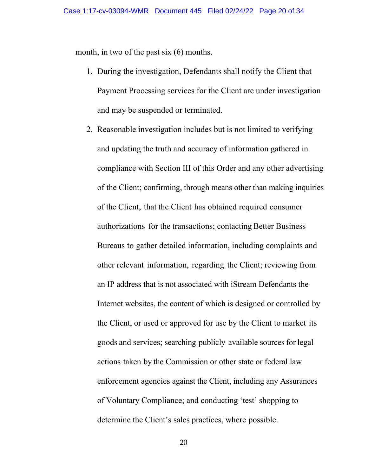month, in two of the past six (6) months.

- 1. During the investigation, Defendants shall notify the Client that Payment Processing services for the Client are under investigation and may be suspended or terminated.
- of the Client; confirming, through means other than making inquiries of the Client, that the Client has obtained required consumer authorizations for the transactions; contacting Better Business Bureaus to gather detailed information, including complaints and other relevant information, regarding the Client; reviewing from an IP address that is not associated with iStream Defendants the the Client, or used or approved for use by the Client to market its goods and services; searching publicly available sources for legal actions taken by the Commission or other state or federal law enforcement agencies against the Client, including any Assurances determine the Client's sales practices, where possible. 2. Reasonable investigation includes but is not limited to verifying and updating the truth and accuracy of information gathered in compliance with Section III of this Order and any other advertising Internet websites, the content of which is designed or controlled by of Voluntary Compliance; and conducting 'test' shopping to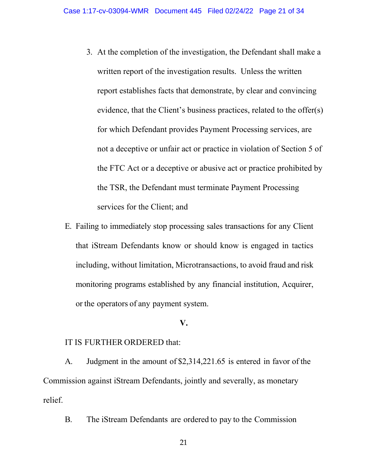- 3. At the completion of the investigation, the Defendant shall make a for which Defendant provides Payment Processing services, are written report of the investigation results. Unless the written report establishes facts that demonstrate, by clear and convincing evidence, that the Client's business practices, related to the offer(s) not a deceptive or unfair act or practice in violation of Section 5 of the FTC Act or a deceptive or abusive act or practice prohibited by the TSR, the Defendant must terminate Payment Processing services for the Client; and
- including, without limitation, Microtransactions, to avoid fraud and risk or the operators of any payment system. E. Failing to immediately stop processing sales transactions for any Client that iStream Defendants know or should know is engaged in tactics monitoring programs established by any financial institution, Acquirer,

#### **V.**

### IT IS FURTHER ORDERED that:

 A. Judgment in the amount of [\\$2,314,221.65](https://2,314,221.65) is entered in favor of the Commission against iStream Defendants, jointly and severally, as monetary relief.

B. The iStream Defendants are ordered to pay to the Commission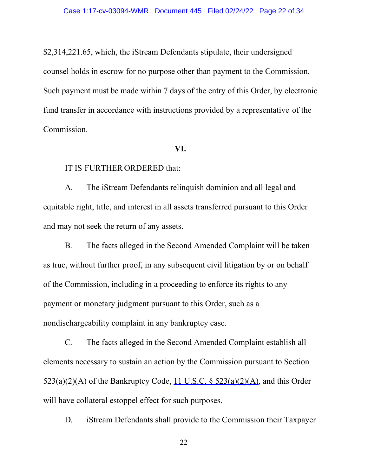fund transfer in accordance with instructions provided by a representative of the \$[2,314,221.65](https://2,314,221.65), which, the iStream Defendants stipulate, their undersigned counsel holds in escrow for no purpose other than payment to the Commission. Such payment must be made within 7 days of the entry of this Order, by electronic Commission.

#### **VI.**

### IT IS FURTHER ORDERED that:

A. The iStream Defendants relinquish dominion and all legal and equitable right, title, and interest in all assets transferred pursuant to this Order and may not seek the return of any assets.

B. The facts alleged in the Second Amended Complaint will be taken as true, without further proof, in any subsequent civil litigation by or on behalf of the Commission, including in a proceeding to enforce its rights to any payment or monetary judgment pursuant to this Order, such as a nondischargeability complaint in any bankruptcy case.

C. The facts alleged in the Second Amended Complaint establish all elements necessary to sustain an action by the Commission pursuant to Section  $523(a)(2)(A)$  of the Bankruptcy Code, 11 U.S.C. §  $523(a)(2)(A)$ , and this Order will have collateral estoppel effect for such purposes.

D. iStream Defendants shall provide to the Commission their Taxpayer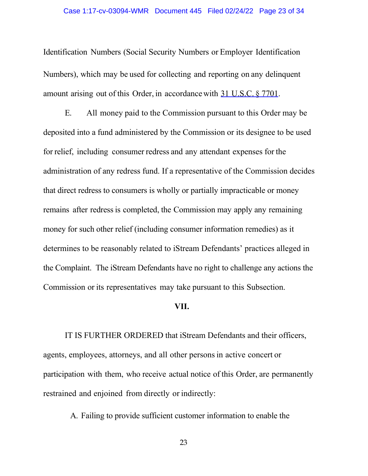Identification Numbers (Social Security Numbers or Employer Identification Numbers), which may be used for collecting and reporting on any delinquent amount arising out of this Order, in accordance with 31 U.S.C. § 7701.

 E. All money paid to the Commission pursuant to this Order may be for relief, including consumer redress and any attendant expenses for the that direct redress to consumers is wholly or partially impracticable or money remains after redress is completed, the Commission may apply any remaining the Complaint. The iStream Defendants have no right to challenge any actions the Commission or its representatives may take pursuant to this Subsection. deposited into a fund administered by the Commission or its designee to be used administration of any redress fund. If a representative of the Commission decides money for such other relief (including consumer information remedies) as it determines to be reasonably related to iStream Defendants' practices alleged in

#### **VII.**

 IT IS FURTHER ORDERED that iStream Defendants and their officers, agents, employees, attorneys, and all other persons in active concert or participation with them, who receive actual notice of this Order, are permanently restrained and enjoined from directly or indirectly:

A. Failing to provide sufficient customer information to enable the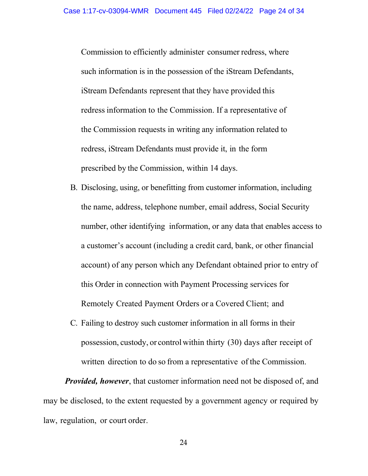Commission to efficiently administer consumer redress, where iStream Defendants represent that they have provided this redress information to the Commission. If a representative of the Commission requests in writing any information related to redress, iStream Defendants must provide it, in the form prescribed by the Commission, within 14 days. such information is in the possession of the iStream Defendants,

- a customer's account (including a credit card, bank, or other financial Remotely Created Payment Orders or a Covered Client; and B. Disclosing, using, or benefitting from customer information, including the name, address, telephone number, email address, Social Security number, other identifying information, or any data that enables access to account) of any person which any Defendant obtained prior to entry of this Order in connection with Payment Processing services for
- C. Failing to destroy such customer information in all forms in their possession, custody, or control within thirty (30) days after receipt of written direction to do so from a representative of the Commission.

 may be disclosed, to the extent requested by a government agency or required by law, regulation, or court order. *Provided, however*, that customer information need not be disposed of, and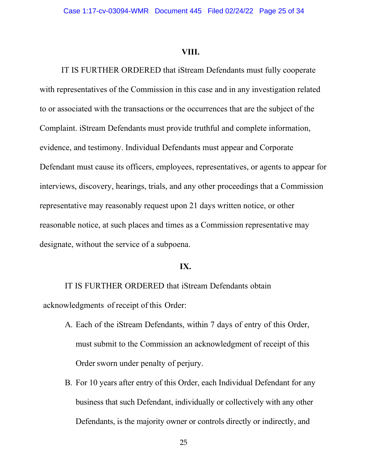#### **VIII.**

IT IS FURTHER ORDERED that iStream Defendants must fully cooperate with representatives of the Commission in this case and in any investigation related to or associated with the transactions or the occurrences that are the subject of the Complaint. iStream Defendants must provide truthful and complete information, evidence, and testimony. Individual Defendants must appear and Corporate Defendant must cause its officers, employees, representatives, or agents to appear for interviews, discovery, hearings, trials, and any other proceedings that a Commission representative may reasonably request upon 21 days written notice, or other reasonable notice, at such places and times as a Commission representative may designate, without the service of a subpoena.

#### **IX.**

 acknowledgments of receipt of this Order: IT IS FURTHER ORDERED that iStream Defendants obtain

- A. Each of the iStream Defendants, within 7 days of entry of this Order, Order sworn under penalty of perjury. must submit to the Commission an acknowledgment of receipt of this
- business that such Defendant, individually or collectively with any other Defendants, is the majority owner or controls directly or indirectly, and B. For 10 years after entry of this Order, each Individual Defendant for any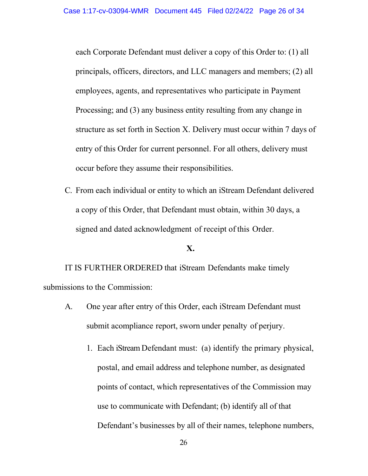each Corporate Defendant must deliver a copy of this Order to: (1) all Processing; and (3) any business entity resulting from any change in structure as set forth in Section X. Delivery must occur within 7 days of entry of this Order for current personnel. For all others, delivery must principals, officers, directors, and LLC managers and members; (2) all employees, agents, and representatives who participate in Payment occur before they assume their responsibilities.

 a copy of this Order, that Defendant must obtain, within 30 days, a signed and dated acknowledgment of receipt of this Order. C. From each individual or entity to which an iStream Defendant delivered

## **X.**

 IT IS FURTHER ORDERED that iStream Defendants make timely submissions to the Commission:

- A. One year after entry of this Order, each iStream Defendant must submit acompliance report, sworn under penalty of perjury.
	- 1. Each iStream Defendant must: (a) identify the primary physical, postal, and email address and telephone number, as designated use to communicate with Defendant; (b) identify all of that points of contact, which representatives of the Commission may Defendant's businesses by all of their names, telephone numbers,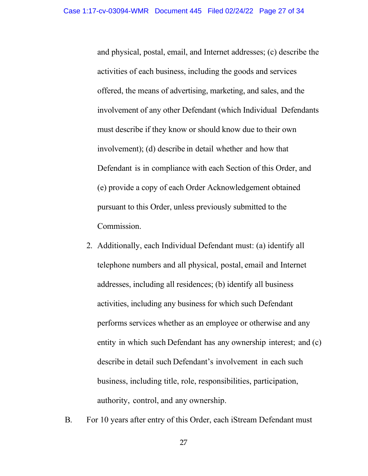activities of each business, including the goods and services offered, the means of advertising, marketing, and sales, and the involvement of any other Defendant (which Individual Defendants involvement); (d) describe in detail whether and how that Defendant is in compliance with each Section of this Order, and (e) provide a copy of each Order Acknowledgement obtained and physical, postal, email, and Internet addresses; (c) describe the must describe if they know or should know due to their own pursuant to this Order, unless previously submitted to the Commission.

- telephone numbers and all physical, postal, email and Internet addresses, including all residences; (b) identify all business activities, including any business for which such Defendant entity in which such Defendant has any ownership interest; and (c) describe in detail such Defendant's involvement in each such business, including title, role, responsibilities, participation, authority, control, and any ownership. 2. Additionally, each Individual Defendant must: (a) identify all performs services whether as an employee or otherwise and any
- B. For 10 years after entry of this Order, each iStream Defendant must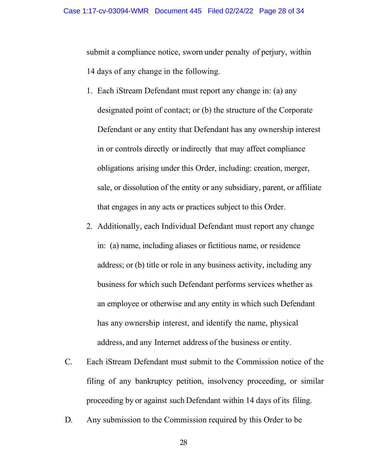submit a compliance notice, sworn under penalty of perjury, within 14 days of any change in the following.

- 1. Each iStream Defendant must report any change in: (a) any in or controls directly or indirectly that may affect compliance obligations arising under this Order, including: creation, merger, sale, or dissolution of the entity or any subsidiary, parent, or affiliate designated point of contact; or (b) the structure of the Corporate Defendant or any entity that Defendant has any ownership interest that engages in any acts or practices subject to this Order.
- in: (a) name, including aliases or fictitious name, or residence address; or (b) title or role in any business activity, including any business for which such Defendant performs services whether as has any ownership interest, and identify the name, physical address, and any Internet address of the business or entity. 2. Additionally, each Individual Defendant must report any change an employee or otherwise and any entity in which such Defendant
- filing of any bankruptcy petition, insolvency proceeding, or similar proceeding by or against such Defendant within 14 days of its filing. C. Each iStream Defendant must submit to the Commission notice of the
- D. Any submission to the Commission required by this Order to be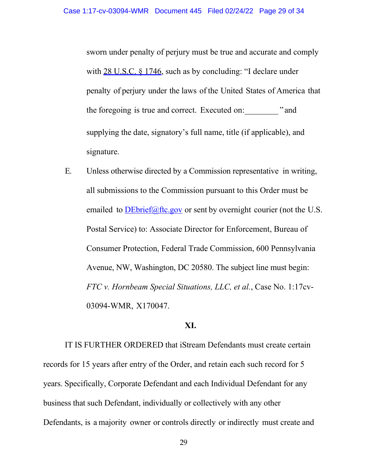penalty of perjury under the laws of the United States of America that the foregoing is true and correct. Executed on:\_\_\_\_\_\_\_\_ " and sworn under penalty of perjury must be true and accurate and comply with 28 U.S.C. § 1746, such as by concluding: "I declare under supplying the date, signatory's full name, title (if applicable), and signature.

 E. Unless otherwise directed by a Commission representative in writing, emailed to **[DEbrief@ftc.gov](mailto:DEbrief@ftc.gov)** or sent by overnight courier (not the U.S. Postal Service) to: Associate Director for Enforcement, Bureau of Avenue, NW, Washington, DC 20580. The subject line must begin:  *FTC v. Hornbeam Special Situations, LLC, et al.*, Case No. 1:17cv- 03094-WMR, X170047. all submissions to the Commission pursuant to this Order must be Consumer Protection, Federal Trade Commission, 600 Pennsylvania

### **XI.**

 records for 15 years after entry of the Order, and retain each such record for 5 years. Specifically, Corporate Defendant and each Individual Defendant for any business that such Defendant, individually or collectively with any other Defendants, is a majority owner or controls directly or indirectly must create and IT IS FURTHER ORDERED that iStream Defendants must create certain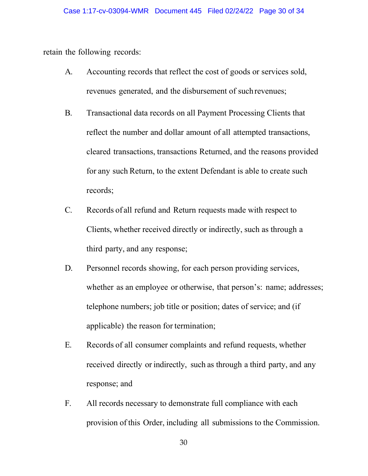retain the following records:

- revenues generated, and the disbursement of such revenues; A. Accounting records that reflect the cost of goods or services sold,
- reflect the number and dollar amount of all attempted transactions, cleared transactions, transactions Returned, and the reasons provided for any such Return, to the extent Defendant is able to create such B. Transactional data records on all Payment Processing Clients that records;
- C. Records of all refund and Return requests made with respect to Clients, whether received directly or indirectly, such as through a third party, and any response;
- whether as an employee or otherwise, that person's: name; addresses; applicable) the reason for termination; D. Personnel records showing, for each person providing services, telephone numbers; job title or position; dates of service; and (if
- E. Records of all consumer complaints and refund requests, whether received directly or indirectly, such as through a third party, and any response; and
- provision of this Order, including all submissions to the Commission. F. All records necessary to demonstrate full compliance with each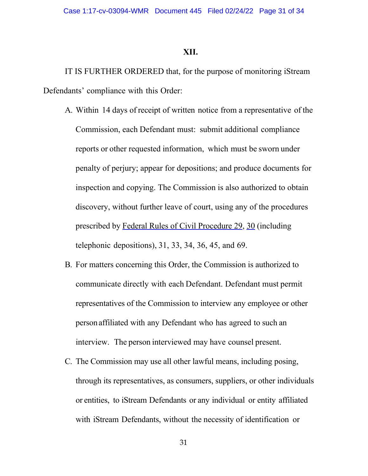#### **XII.**

 Defendants' compliance with this Order: IT IS FURTHER ORDERED that, for the purpose of monitoring iStream

- A. Within 14 days of receipt of written notice from a representative of the Commission, each Defendant must: submit additional compliance reports or other requested information, which must be sworn under prescribed by Federal Rules of Civil Procedure 29, 30 (including telephonic depositions), 31, 33, 34, 36, 45, and 69. penalty of perjury; appear for depositions; and produce documents for inspection and copying. The Commission is also authorized to obtain discovery, without further leave of court, using any of the procedures
- B. For matters concerning this Order, the Commission is authorized to communicate directly with each Defendant. Defendant must permit person affiliated with any Defendant who has agreed to such an interview. The person interviewed may have counsel present. representatives of the Commission to interview any employee or other
- C. The Commission may use all other lawful means, including posing, or entities, to iStream Defendants or any individual or entity affiliated with iStream Defendants, without the necessity of identification or through its representatives, as consumers, suppliers, or other individuals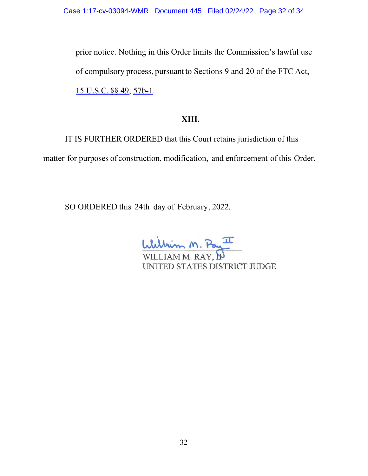of compulsory process, pursuant to Sections 9 and 20 of the FTC Act, 15 U.S.C. §§ 49, 57b-1. prior notice. Nothing in this Order limits the Commission's lawful use

# **XIII.**

 IT IS FURTHER ORDERED that this Court retains jurisdiction of this matter for purposes of construction, modification, and enforcement of this Order.

SO ORDERED this 24th day of February, 2022.

William M. Pay

UNITED STATES DISTRICT JUDGE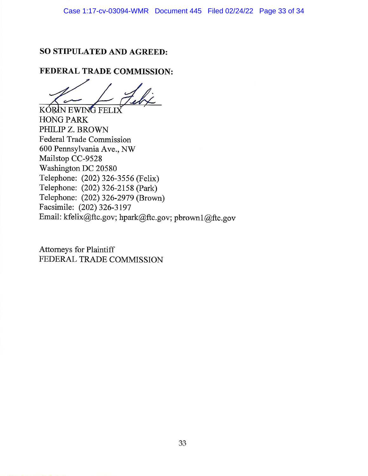## SO STIPULATED AND AGREED:

## FEDERAL TRADE COMMISSION:

KÓRIN EWING FELIX

**HONG PARK** PHILIP Z. BROWN **Federal Trade Commission** 600 Pennsylvania Ave., NW Mailstop CC-9528 Washington DC 20580 Telephone: (202) 326-3556 (Felix) Telephone: (202) 326-2158 (Park) Telephone: (202) 326-2979 (Brown) Facsimile: (202) 326-3197 Email: kfelix@ftc.gov; hpark@ftc.gov; pbrown1@ftc.gov

Attorneys for Plaintiff FEDERAL TRADE COMMISSION